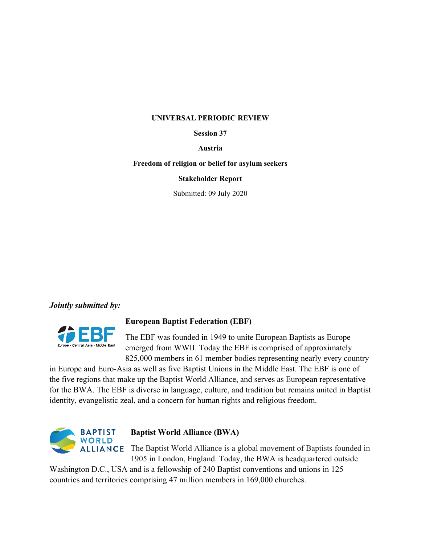### **UNIVERSAL PERIODIC REVIEW**

### **Session 37**

#### **Austria**

#### **Freedom of religion or belief for asylum seekers**

### **Stakeholder Report**

Submitted: 09 July 2020

## *Jointly submitted by:*



## **European Baptist Federation (EBF)**

The EBF was founded in 1949 to unite European Baptists as Europe emerged from WWII. Today the EBF is comprised of approximately 825,000 members in 61 member bodies representing nearly every country

in Europe and Euro-Asia as well as five Baptist Unions in the Middle East. The EBF is one of the five regions that make up the Baptist World Alliance, and serves as European representative for the BWA. The EBF is diverse in language, culture, and tradition but remains united in Baptist identity, evangelistic zeal, and <sup>a</sup> concern for human rights and religious freedom.



# **Baptist World Alliance (BWA)**

**ALLIANCE** The Baptist World Alliance is a global movement of Baptists founded in 1905 in London, England. Today, the BWA is headquartered outside

Washington D.C., USA and is <sup>a</sup> fellowship of 240 Baptist conventions and unions in 125 countries and territories comprising 47 million members in 169,000 churches.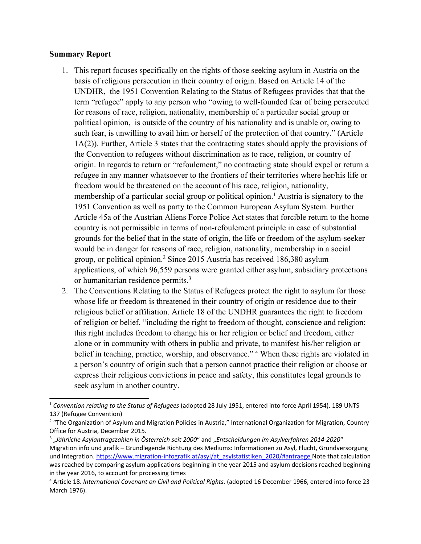## **Summary Report**

- 1. This repor<sup>t</sup> focuses specifically on the rights of those seeking asylum in Austria on the basis of religious persecution in their country of origin. Based on Article 14 of the UNDHR, the 1951 Convention Relating to the Status of Refugees provides that that the term "refugee" apply to any person who "owing to well-founded fear of being persecuted for reasons of race, religion, nationality, membership of <sup>a</sup> particular social group or political opinion, is outside of the country of his nationality and is unable or, owing to such fear, is unwilling to avail him or herself of the protection of that country." (Article 1A(2)). Further, Article 3 states that the contracting states should apply the provisions of the Convention to refugees without discrimination as to race, religion, or country of origin. In regards to return or "refoulement," no contracting state should expel or return <sup>a</sup> refugee in any manner whatsoever to the frontiers of their territories where her/his life or freedom would be threatened on the account of his race, religion, nationality, membership of <sup>a</sup> particular social group or political opinion. <sup>1</sup> Austria is signatory to the 1951 Convention as well as party to the Common European Asylum System. Further Article 45a of the Austrian Aliens Force Police Act states that forcible return to the home country is not permissible in terms of non-refoulement principle in case of substantial grounds for the belief that in the state of origin, the life or freedom of the asylum-seeker would be in danger for reasons of race, religion, nationality, membership in <sup>a</sup> social group, or political opinion. 2 Since 2015 Austria has received 186,380 asylum applications, of which 96,559 persons were granted either asylum, subsidiary protections or humanitarian residence permits. 3
- 2. The Conventions Relating to the Status of Refugees protect the right to asylum for those whose life or freedom is threatened in their country of origin or residence due to their religious belief or affiliation. Article 18 of the UNDHR guarantees the right to freedom of religion or belief, "including the right to freedom of thought, conscience and religion; this right includes freedom to change his or her religion or belief and freedom, either alone or in community with others in public and private, to manifest his/her religion or belief in teaching, practice, worship, and observance."<sup>4</sup> When these rights are violated in <sup>a</sup> person'<sup>s</sup> country of origin such that <sup>a</sup> person cannot practice their religion or choose or express their religious convictions in peace and safety, this constitutes legal grounds to seek asylum in another country.

<sup>1</sup> *Convention relating to the Status of Refugees* (adopted 28 July 1951, entered into force April 1954). 189 UNTS 137 (Refugee Convention)

<sup>&</sup>lt;sup>2</sup> "The Organization of Asylum and Migration Policies in Austria," International Organization for Migration, Country Office for Austria, December 2015.

<sup>3</sup> "*Jährliche Asylantragszahlen in Österreich seit <sup>2000</sup>*" and "*Entscheidungen im Asylverfahren 2014-2020*" Migration info und grafik – Grundlegende Richtung des Mediums: Informationen zu Asyl, Flucht, Grundversorgung und Integration. [https://www.migration-infografik.at/asyl/at\\_asylstatistiken\\_2020/#antraege](https://www.migration-infografik.at/asyl/at_asylstatistiken_2020/#antraege) Note that calculation was reached by comparing asylum applications beginning in the year 2015 and asylum decisions reached beginning in the year 2016, to account for processing times

<sup>4</sup> Article 18. *International Covenant on Civil and Political Rights.* (adopted 16 December 1966, entered into force 23 March 1976).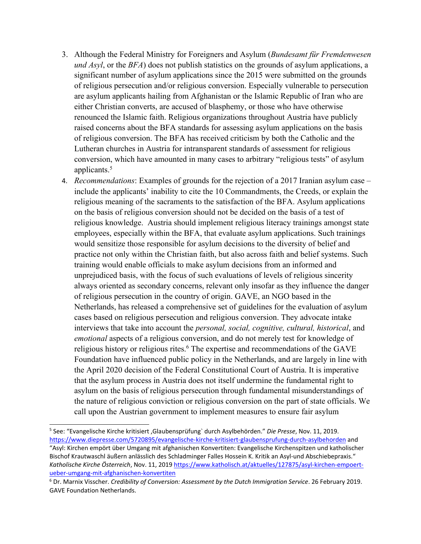- 3. Although the Federal Ministry for Foreigners and Asylum (*Bundesamt für Fremdenwesen und Asyl*, or the *BFA*) does not publish statistics on the grounds of asylum applications, <sup>a</sup> significant number of asylum applications since the 2015 were submitted on the grounds of religious persecution and/or religious conversion. Especially vulnerable to persecution are asylum applicants hailing from Afghanistan or the Islamic Republic of Iran who are either Christian converts, are accused of blasphemy, or those who have otherwise renounced the Islamic faith. Religious organizations throughout Austria have publicly raised concerns about the BFA standards for assessing asylum applications on the basis of religious conversion. The BFA has received criticism by both the Catholic and the Lutheran churches in Austria for intransparent standards of assessment for religious conversion, which have amounted in many cases to arbitrary "religious tests" of asylum applicants. 5
- 4. *Recommendations*: Examples of grounds for the rejection of <sup>a</sup> 2017 Iranian asylum case include the applicants' inability to cite the 10 Commandments, the Creeds, or explain the religious meaning of the sacraments to the satisfaction of the BFA. Asylum applications on the basis of religious conversion should not be decided on the basis of <sup>a</sup> test of religious knowledge. Austria should implement religious literacy trainings amongs<sup>t</sup> state employees, especially within the BFA, that evaluate asylum applications. Such trainings would sensitize those responsible for asylum decisions to the diversity of belief and practice not only within the Christian faith, but also across faith and belief systems. Such training would enable officials to make asylum decisions from an informed and unprejudiced basis, with the focus of such evaluations of levels of religious sincerity always oriented as secondary concerns, relevant only insofar as they influence the danger of religious persecution in the country of origin. GAVE, an NGO based in the Netherlands, has released <sup>a</sup> comprehensive set of guidelines for the evaluation of asylum cases based on religious persecution and religious conversion. They advocate intake interviews that take into account the *personal, social, cognitive, cultural, historical*, and *emotional* aspects of <sup>a</sup> religious conversion, and do not merely test for knowledge of religious history or religious rites. 6 The expertise and recommendations of the GAVE Foundation have influenced public policy in the Netherlands, and are largely in line with the April 2020 decision of the Federal Constitutional Court of Austria. It is imperative that the asylum process in Austria does not itself undermine the fundamental right to asylum on the basis of religious persecution through fundamental misunderstandings of the nature of religious conviction or religious conversion on the par<sup>t</sup> of state officials. We call upon the Austrian governmen<sup>t</sup> to implement measures to ensure fair asylum

<sup>5</sup> See: "Evangelische Kirche kritisiert 'Glaubensprüfung` durch Asylbehörden." *Die Presse*, Nov. 11, 2019. <https://www.diepresse.com/5720895/evangelische-kirche-kritisiert-glaubensprufung-durch-asylbehorden> and "Asyl: Kirchen empört über Umgang mit afghanischen Konvertiten: Evangelische Kirchenspitzen und katholischer Bischof Krautwaschl äußern anlässlich des Schladminger Falles Hossein K. Kritik an Asyl-und Abschiebepraxis." *Katholische Kirche Österreich*, Nov. 11, <sup>2019</sup> [https://www.katholisch.at/aktuelles/127875/asyl-kirchen-empoert](https://www.katholisch.at/aktuelles/127875/asyl-kirchen-empoert-ueber-umgang-mit-afghanischen-konvertiten)[ueber-umgang-mit-afghanischen-konvertiten](https://www.katholisch.at/aktuelles/127875/asyl-kirchen-empoert-ueber-umgang-mit-afghanischen-konvertiten)

<sup>6</sup> Dr. Marnix Visscher. *Credibility of Conversion: Assessment by the Dutch Immigration Service*. 26 February 2019. GAVE Foundation Netherlands.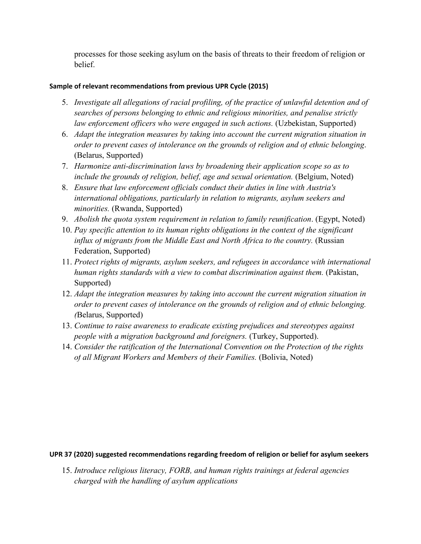processes for those seeking asylum on the basis of threats to their freedom of religion or belief.

# **Sample of relevant recommendations from previous UPR Cycle (2015)**

- 5. *Investigate all allegations of racial profiling, of the practice of unlawful detention and of searches of persons belonging to ethnic and religious minorities, and penalise strictly law enforcement officers who were engaged in such actions.* (Uzbekistan, Supported)
- 6. *Adapt the integration measures by taking into account the current migration situation in order to preven<sup>t</sup> cases of intolerance on the grounds of religion and of ethnic belonging*. (Belarus, Supported)
- 7. *Harmonize anti-discrimination laws by broadening their application scope so as to include the grounds of religion, belief, age and sexual orientation.* (Belgium, Noted)
- 8. *Ensure that law enforcement officials conduct their duties in line with Austria's international obligations, particularly in relation to migrants, asylum seekers and minorities.* (Rwanda, Supported)
- 9. *Abolish the quota system requirement in relation to family reunification*. (Egypt, Noted)
- 10. *Pay specific attention to its human rights obligations in the context of the significant influx of migrants from the Middle East and North Africa to the country.* (Russian Federation, Supported)
- 11. *Protect rights of migrants, asylum seekers, and refugees in accordance with international human rights standards with <sup>a</sup> view to combat discrimination against them.* (Pakistan, Supported)
- 12. *Adapt the integration measures by taking into account the current migration situation in order to preven<sup>t</sup> cases of intolerance on the grounds of religion and of ethnic belonging. (*Belarus, Supported)
- 13. *Continue to raise awareness to eradicate existing prejudices and stereotypes against people with <sup>a</sup> migration background and foreigners.* (Turkey, Supported).
- 14. *Consider the ratification of the International Convention on the Protection of the rights of all Migrant Workers and Members of their Families.* (Bolivia, Noted)

# **UPR 37 (2020) suggested recommendations regarding freedom of religion or belief for asylum seekers**

15. *Introduce religious literacy, FORB, and human rights trainings at federal agencies charged with the handling of asylum applications*